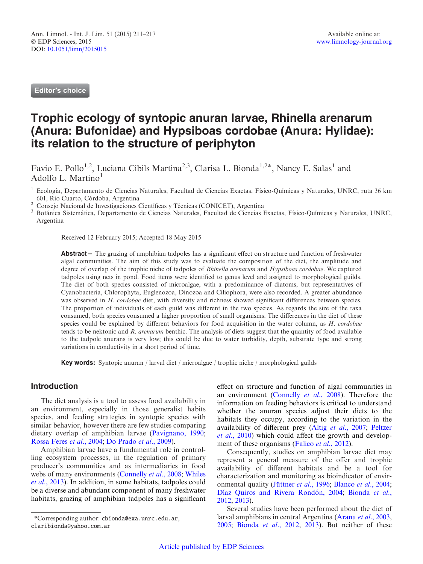**Editor's choice** 

# Trophic ecology of syntopic anuran larvae, Rhinella arenarum (Anura: Bufonidae) and Hypsiboas cordobae (Anura: Hylidae): its relation to the structure of periphyton

Favio E. Pollo<sup>1,2</sup>, Luciana Cibils Martina<sup>2,3</sup>, Clarisa L. Bionda<sup>1,2\*</sup>, Nancy E. Salas<sup>1</sup> and Adolfo L. Martino<sup>1</sup>

<sup>1</sup> Ecología, Departamento de Ciencias Naturales, Facultad de Ciencias Exactas, Físico-Químicas y Naturales, UNRC, ruta 36 km

601, Rio Cuarto, Córdoba, Argentina<br><sup>2</sup> Consejo Nacional de Investigaciones Científicas y Técnicas (CONICET), Argentina<br><sup>3</sup> Botánica Sistemática, Departamento de Ciencias Naturales, Facultad de Ciencias Exactas, Físico-Quí Argentina

Received 12 February 2015; Accepted 18 May 2015

Abstract – The grazing of amphibian tadpoles has a significant effect on structure and function of freshwater algal communities. The aim of this study was to evaluate the composition of the diet, the amplitude and degree of overlap of the trophic niche of tadpoles of Rhinella arenarum and Hypsiboas cordobae. We captured tadpoles using nets in pond. Food items were identified to genus level and assigned to morphological guilds. The diet of both species consisted of microalgae, with a predominance of diatoms, but representatives of Cyanobacteria, Chlorophyta, Euglenozoa, Dinozoa and Ciliophora, were also recorded. A greater abundance was observed in H. cordobae diet, with diversity and richness showed significant differences between species. The proportion of individuals of each guild was different in the two species. As regards the size of the taxa consumed, both species consumed a higher proportion of small organisms. The differences in the diet of these species could be explained by different behaviors for food acquisition in the water column, as H. cordobae tends to be nektonic and R. arenarum benthic. The analysis of diets suggest that the quantity of food available to the tadpole anurans is very low; this could be due to water turbidity, depth, substrate type and strong variations in conductivity in a short period of time.

Key words: Syntopic anuran / larval diet / microalgae / trophic niche / morphological guilds

## Introduction

The diet analysis is a tool to assess food availability in an environment, especially in those generalist habits species, and feeding strategies in syntopic species with similar behavior, however there are few studies comparing dietary overlap of amphibian larvae [\(Pavignano, 1990;](#page-6-0) [Rossa Feres](#page-6-0) et al., 2004; [Do Prado](#page-5-0) et al., 2009).

Amphibian larvae have a fundamental role in controlling ecosystem processes, in the regulation of primary producer's communities and as intermediaries in food webs of many environments [\(Connelly](#page-5-0) *et al.*, 2008; [Whiles](#page-6-0) et al.[, 2013\)](#page-6-0). In addition, in some habitats, tadpoles could be a diverse and abundant component of many freshwater habitats, grazing of amphibian tadpoles has a significant effect on structure and function of algal communities in an environment [\(Connelly](#page-5-0) et al., 2008). Therefore the information on feeding behaviors is critical to understand whether the anuran species adjust their diets to the habitats they occupy, according to the variation in the availability of different prey (Altig et al.[, 2007](#page-5-0); [Peltzer](#page-6-0) et al.[, 2010\)](#page-6-0) which could affect the growth and develop-ment of these organisms [\(Falico](#page-6-0) et al., 2012).

Consequently, studies on amphibian larvae diet may represent a general measure of the offer and trophic availability of different habitats and be a tool for characterization and monitoring as bioindicator of envir-onmental quality (Jüttner et al., 1996; [Blanco](#page-5-0) et al., 2004; Díaz Quiros and Rivera Rondón, 2004; [Bionda](#page-5-0) et al., [2012,](#page-5-0) [2013\)](#page-5-0).

Several studies have been performed about the diet of larval amphibians in central Argentina [\(Arana](#page-5-0) et al., 2003, [2005;](#page-5-0) [Bionda](#page-5-0) et al., 2012, [2013](#page-5-0)). But neither of these

<sup>\*</sup>Corresponding author: cbionda@exa.unrc.edu.ar, claribionda@yahoo.com.ar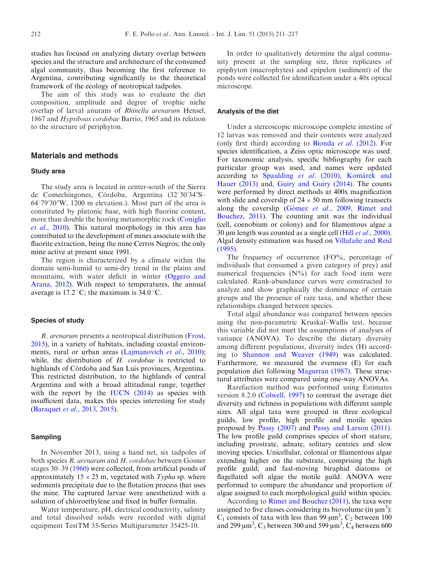studies has focused on analyzing dietary overlap between species and the structure and architecture of the consumed algal community, thus becoming the first reference to Argentina, contributing significantly to the theoretical framework of the ecology of neotropical tadpoles.

The aim of this study was to evaluate the diet composition, amplitude and degree of trophic niche overlap of larval anurans of Rhinella arenarum Hensel, 1867 and Hypsiboas cordobae Barrio, 1965 and its relation to the structure of periphyton.

# Materials and methods

## Study area

The study area is located in center-south of the Sierra de Comechingones, Córdoba, Argentina (32°50'34"S- $64^{\circ}79'30''W$ , 1200 m elevation.). Most part of the area is constituted by plutonic base, with high fluorine content, more than double the hosting metamorphic rock ([Coniglio](#page-5-0) et al.[, 2010\)](#page-5-0). This natural morphology in this area has contributed to the development of mines associate with the fluorite extraction, being the mine Cerros Negros; the only mine active at present since 1991.

The region is characterized by a climate within the domain semi-humid to semi-dry trend in the plains and mountains, with water deficit in winter ([Oggero and](#page-6-0) [Arana, 2012\)](#page-6-0). With respect to temperatures, the annual average is 17.2 °C; the maximum is  $34.0$  °C.

## Species of study

R. arenarum presents a neotropical distribution ([Frost,](#page-6-0) [2015](#page-6-0)), in a variety of habitats, including coastal environ-ments, rural or urban areas ([Lajmanovich](#page-6-0) et al., 2010); while, the distribution of H. cordobae is restricted to highlands of Córdoba and San Luis provinces, Argentina. This restricted distribution, to the highlands of central Argentina and with a broad altitudinal range, together with the report by the [IUCN \(2014\)](#page-6-0) as species with insufficient data, makes this species interesting for study ([Baraquet](#page-5-0) et al., 2013, [2015](#page-5-0)).

#### Sampling

In November 2013, using a hand net, six tadpoles of both species R. arenarum and H. cordobae between Gosner stages 30–39 ([1960\)](#page-6-0) were collected, from artificial ponds of approximately  $15 \times 25$  m, vegetated with Typha sp. where sediments precipitate due to the flotation process that uses the mine. The captured larvae were anesthetized with a solution of chloroethylene and fixed in buffer formalin.

Water temperature, pH, electrical conductivity, salinity and total dissolved solids were recorded with digital equipment TestTM 35-Series Multiparameter 35425-10.

In order to qualitatively determine the algal community present at the sampling site, three replicates of epiphyton (macrophytes) and epipelon (sediment) of the ponds were collected for identification under a 40x optical microscope.

## Analysis of the diet

Under a stereoscopic microscope complete intestine of 12 larvas was removed and their contents were analyzed (only first third) according to [Bionda](#page-5-0) et al. (2012). For species identification, a Zeiss optic microscope was used. For taxonomic analysis, specific bibliography for each particular group was used, and names were updated according to [Spaulding](#page-6-0) et al. (2010), Komárek and [Hauer \(2013\)](#page-6-0) and, [Guiry and Guiry \(2014\)](#page-6-0). The counts were performed by direct methods at 400x magnification with slide and coverslip of  $24 \times 50$  mm following transects along the coverslip (Gómez et al., 2009, [Rimet and](#page-6-0) [Bouchez, 2011\)](#page-6-0). The counting unit was the individual (cell, coenobium or colony) and for filamentous algae a 30  $\mu$ m length was counted as a single cell (Hill *et al.*[, 2000\)](#page-6-0). Algal density estimation was based on Villafane and Reid [\(1995\)](#page-6-0).

The frequency of occurrence  $(FO\%$ , percentage of individuals that consumed a given category of prey) and numerical frequencies  $(N\%)$  for each food item were calculated. Rank-abundance curves were constructed to analyze and show graphically the dominance of certain groups and the presence of rare taxa, and whether these relationships changed between species.

Total algal abundance was compared between species using the non-parametric Kruskal–Wallis test, because this variable did not meet the assumptions of analyses of variance (ANOVA). To describe the dietary diversity among different populations, diversity index (H) according to [Shannon and Weaver \(1949\)](#page-6-0) was calculated. Furthermore, we measured the evenness (E) for each population diet following [Magurran \(1987\).](#page-6-0) These structural attributes were compared using one-way ANOVAs.

Rarefaction method was performed using Estimates version 8.2.0 [\(Colwell, 1997\)](#page-5-0) to contrast the average diet diversity and richness in populations with different sample sizes. All algal taxa were grouped in three ecological guilds, low profile, high profile and motile species proposed by [Passy \(2007\)](#page-6-0) and [Passy and Larson \(2011\)](#page-6-0). The low profile guild comprises species of short stature, including prostrate, adnate, solitary centrics and slow moving species. Unicellular, colonial or filamentous algae extending higher on the substrate, comprising the high profile guild; and fast-moving biraphid diatoms or flagellated soft algae the motile guild. ANOVA were performed to compare the abundance and proportion of algae assigned to each morphological guild within species.

According to [Rimet and Bouchez \(2011\)](#page-6-0), the taxa were assigned to five classes considering its biovolume (in  $\mu$ m<sup>3</sup>):  $C_1$  consists of taxa with less than 99  $\mu$ m<sup>3</sup>,  $C_2$  between 100 and 299  $\mu$ m<sup>3</sup>, C<sub>3</sub> between 300 and 599  $\mu$ m<sup>3</sup>, C<sub>4</sub> between 600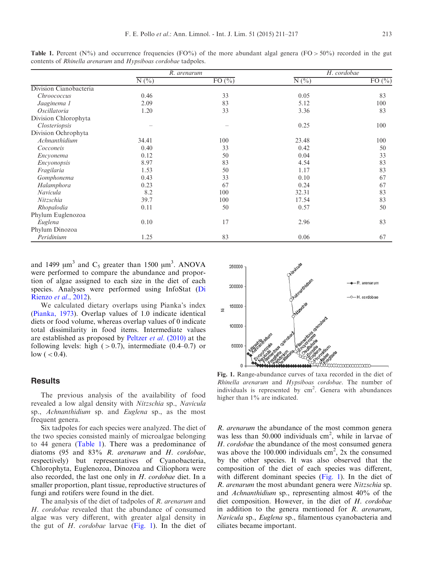|                        | R. arenarum |       | H. cordobae                                        |       |
|------------------------|-------------|-------|----------------------------------------------------|-------|
|                        | $N(\%)$     | FO(%) | $\overline{\mathrm{N} \left( \frac{0}{0} \right)}$ | FO(%) |
| Division Cianobacteria |             |       |                                                    |       |
| Chroococcus            | 0.46        | 33    | 0.05                                               | 83    |
| Jaaginema 1            | 2.09        | 83    | 5.12                                               | 100   |
| Oscillatoria           | 1.20        | 33    | 3.36                                               | 83    |
| Division Chlorophyta   |             |       |                                                    |       |
| Closteriopsis          |             |       | 0.25                                               | 100   |
| Division Ochrophyta    |             |       |                                                    |       |
| Achnanthidium          | 34.41       | 100   | 23.48                                              | 100   |
| Cocconeis              | 0.40        | 33    | 0.42                                               | 50    |
| Encyonema              | 0.12        | 50    | 0.04                                               | 33    |
| Encyonopsis            | 8.97        | 83    | 4.54                                               | 83    |
| Fragilaria             | 1.53        | 50    | 1.17                                               | 83    |
| Gomphonema             | 0.43        | 33    | 0.10                                               | 67    |
| Halamphora             | 0.23        | 67    | 0.24                                               | 67    |
| Navicula               | 8.2         | 100   | 32.31                                              | 83    |
| Nitzschia              | 39.7        | 100   | 17.54                                              | 83    |
| Rhopalodia             | 0.11        | 50    | 0.57                                               | 50    |
| Phylum Euglenozoa      |             |       |                                                    |       |
| Euglena                | 0.10        | 17    | 2.96                                               | 83    |
| Phylum Dinozoa         |             |       |                                                    |       |
| Peridinium             | 1.25        | 83    | 0.06                                               | 67    |

Table 1. Percent (N%) and occurrence frequencies (FO%) of the more abundant algal genera (FO > 50%) recorded in the gut contents of Rhinella arenarum and Hypsiboas cordobae tadpoles.

and 1499  $\mu$ m<sup>3</sup> and C<sub>5</sub> greater than 1500  $\mu$ m<sup>3</sup>. ANOVA were performed to compare the abundance and proportion of algae assigned to each size in the diet of each species. Analyses were performed using InfoStat ([Di](#page-5-0) [Rienzo](#page-5-0) et al., 2012).

We calculated dietary overlaps using Pianka's index ([Pianka, 1973\)](#page-6-0). Overlap values of 1.0 indicate identical diets or food volume, whereas overlap values of 0 indicate total dissimilarity in food items. Intermediate values are established as proposed by [Peltzer](#page-6-0) et al. (2010) at the following levels: high  $(>0.7)$ , intermediate  $(0.4-0.7)$  or low  $(< 0.4)$ .

# **Results**

The previous analysis of the availability of food revealed a low algal density with Nitzschia sp., Navicula sp., Achnanthidium sp. and Euglena sp., as the most frequent genera.

Six tadpoles for each species were analyzed. The diet of the two species consisted mainly of microalgae belonging to 44 genera (Table 1). There was a predominance of diatoms (95 and 83% R. arenarum and H. cordobae, respectively) but representatives of Cyanobacteria, Chlorophyta, Euglenozoa, Dinozoa and Ciliophora were also recorded, the last one only in  $H$ . *cordobae* diet. In a smaller proportion, plant tissue, reproductive structures of fungi and rotifers were found in the diet.

The analysis of the diet of tadpoles of R. arenarum and H. cordobae revealed that the abundance of consumed algae was very different, with greater algal density in the gut of  $H$ . *cordobae* larvae (Fig. 1). In the diet of



Fig. 1. Range-abundance curves of taxa recorded in the diet of Rhinella arenarum and Hypsiboas cordobae. The number of individuals is represented by  $cm<sup>2</sup>$ . Genera with abundances higher than  $1\%$  are indicated.

R. arenarum the abundance of the most common genera was less than  $50.000$  individuals cm<sup>2</sup>, while in larvae of H. cordobae the abundance of the most consumed genera was above the 100.000 individuals  $\text{cm}^2$ , 2x the consumed by the other species. It was also observed that the composition of the diet of each species was different, with different dominant species (Fig. 1). In the diet of R. arenarum the most abundant genera were Nitzschia sp. and Achnanthidium sp., representing almost 40% of the diet composition. However, in the diet of H. cordobae in addition to the genera mentioned for R. arenarum, Navicula sp., Euglena sp., filamentous cyanobacteria and ciliates became important.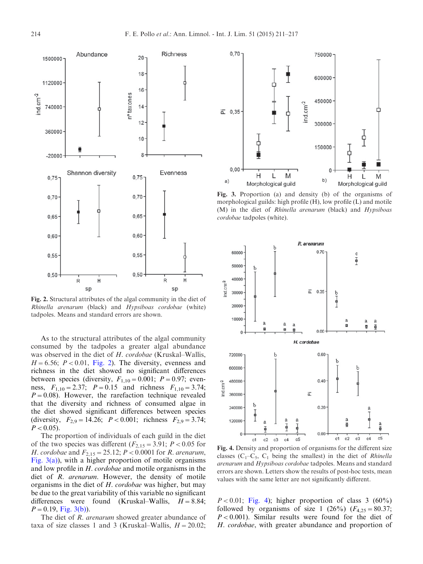

Fig. 2. Structural attributes of the algal community in the diet of Rhinella arenarum (black) and Hypsiboas cordobae (white) tadpoles. Means and standard errors are shown.

As to the structural attributes of the algal community consumed by the tadpoles a greater algal abundance was observed in the diet of H. cordobae (Kruskal–Wallis,  $H=6.56$ ;  $P<0.01$ , Fig. 2). The diversity, evenness and richness in the diet showed no significant differences between species (diversity,  $F_{1,10} = 0.001$ ;  $P = 0.97$ ; evenness,  $F_{1,10} = 2.37$ ;  $P = 0.15$  and richness  $F_{1,10} = 3.74$ ;  $P=0.08$ ). However, the rarefaction technique revealed that the diversity and richness of consumed algae in the diet showed significant differences between species (diversity,  $F_{2,9} = 14.26$ ;  $P < 0.001$ ; richness  $F_{2,9} = 3.74$ ;  $P < 0.05$ ).

The proportion of individuals of each guild in the diet of the two species was different  $(F_{2,15}=3.91; P<0.05$  for *H. cordobae* and  $F_{2,15} = 25.12$ ; *P* < 0.0001 for *R. arenarum*, Fig.  $3(a)$ ), with a higher proportion of motile organisms and low profile in H. cordobae and motile organisms in the diet of R. arenarum. However, the density of motile organisms in the diet of H. cordobae was higher, but may be due to the great variability of this variable no significant differences were found (Kruskal–Wallis,  $H = 8.84$ ;  $P=0.19$ , Fig. 3(b)).

The diet of R. arenarum showed greater abundance of taxa of size classes 1 and 3 (Kruskal–Wallis,  $H = 20.02$ ;



Fig. 3. Proportion (a) and density (b) of the organisms of morphological guilds: high profile (H), low profile (L) and motile (M) in the diet of Rhinella arenarum (black) and Hypsiboas cordobae tadpoles (white).



Fig. 4. Density and proportion of organisms for the different size classes ( $C_1-C_5$ ,  $C_1$  being the smallest) in the diet of *Rhinella* arenarum and Hypsiboas cordobae tadpoles. Means and standard errors are shown. Letters show the results of post-hoc tests, mean values with the same letter are not significantly different.

 $P < 0.01$ ; Fig. 4); higher proportion of class 3 (60%) followed by organisms of size 1 (26%)  $(F_{4,25} = 80.37;$  $P < 0.001$ ). Similar results were found for the diet of H. cordobae, with greater abundance and proportion of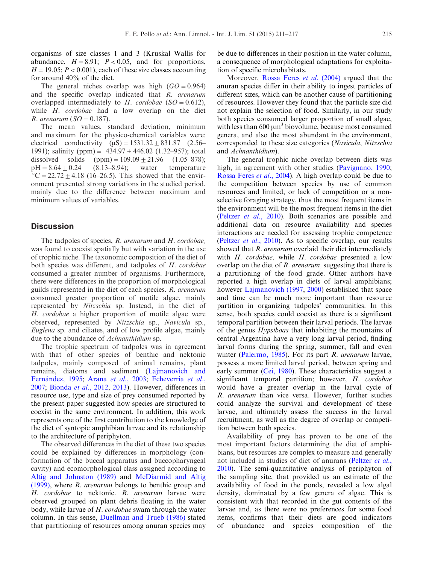organisms of size classes 1 and 3 (Kruskal–Wallis for abundance,  $H = 8.91$ ;  $P < 0.05$ , and for proportions,  $H = 19.05$ ;  $P < 0.001$ ), each of these size classes accounting for around 40% of the diet.

The general niches overlap was high  $(GQ=0.964)$ and the specific overlap indicated that R. arenarum overlapped intermediately to H. cordobae ( $SO = 0.612$ ), while H. cordobae had a low overlap on the diet R. arenarum  $(SO = 0.187)$ .

The mean values, standard deviation, minimum and maximum for the physico-chemical variables were: electrical conductivity  $(\mu S) = 1531.32 \pm 831.87$  (2.56– 1991); salinity (ppm) =  $434.97 + 446.02$  (1.32–957); total dissolved solids  $(ppm) = 109.09 \pm 21.96$   $(1.05-878);$  $pH = 8.64 \pm 0.24$  (8.13–8.94); water temperature  ${}^{\circ}C = 22.72 \pm 4.18$  (16–26.5). This showed that the environment presented strong variations in the studied period, mainly due to the difference between maximum and minimum values of variables.

## **Discussion**

The tadpoles of species, R. arenarum and H. cordobae, was found to coexist spatially but with variation in the use of trophic niche. The taxonomic composition of the diet of both species was different, and tadpoles of H. cordobae consumed a greater number of organisms. Furthermore, there were differences in the proportion of morphological guilds represented in the diet of each species. R. arenarum consumed greater proportion of motile algae, mainly represented by Nitzschia sp. Instead, in the diet of H. cordobae a higher proportion of motile algae were observed, represented by Nitzschia sp., Navicula sp., Euglena sp. and ciliates, and of low profile algae, mainly due to the abundance of Achnanthidium sp.

The trophic spectrum of tadpoles was in agreement with that of other species of benthic and nektonic tadpoles, mainly composed of animal remains, plant remains, diatoms and sediment [\(Lajmanovich and](#page-6-0) Fernández, 1995; Arana et al.[, 2003](#page-5-0); Echeverría et al., [2007](#page-6-0); [Bionda](#page-5-0) et al., 2012, [2013\)](#page-5-0). However, differences in resource use, type and size of prey consumed reported by the present paper suggested how species are structured to coexist in the same environment. In addition, this work represents one of the first contribution to the knowledge of the diet of syntopic amphibian larvae and its relationship to the architecture of periphyton.

The observed differences in the diet of these two species could be explained by differences in morphology (conformation of the buccal apparatus and buccopharyngeal cavity) and ecomorphological class assigned according to [Altig and Johnston \(1989\)](#page-5-0) and [McDiarmid and Altig](#page-6-0) [\(1999\)](#page-6-0), where R. arenarum belongs to benthic group and H. cordobae to nektonic. R. arenarum larvae were observed grouped on plant debris floating in the water body, while larvae of H. cordobae swam through the water column. In this sense, [Duellman and Trueb \(1986\)](#page-5-0) stated that partitioning of resources among anuran species may

be due to differences in their position in the water column, a consequence of morphological adaptations for exploitation of specific microhabitats.

Moreover, [Rossa Feres](#page-6-0) et al. (2004) argued that the anuran species differ in their ability to ingest particles of different sizes, which can be another cause of partitioning of resources. However they found that the particle size did not explain the selection of food. Similarly, in our study both species consumed larger proportion of small algae, with less than  $600 \mu m^3$  biovolume, because most consumed genera, and also the most abundant in the environment, corresponded to these size categories (Navicula, Nitzschia and Achnanthidium).

The general trophic niche overlap between diets was high, in agreement with other studies [\(Pavignano, 1990](#page-6-0); [Rossa Feres](#page-6-0) et al., 2004). A high overlap could be due to the competition between species by use of common resources and limited, or lack of competition or a nonselective foraging strategy, thus the most frequent items in the environment will be the most frequent items in the diet ([Peltzer](#page-6-0) et al., 2010). Both scenarios are possible and additional data on resource availability and species interactions are needed for assessing trophic competence ([Peltzer](#page-6-0) et al., 2010). As to specific overlap, our results showed that *R. arenarum* overlaid their diet intermediately with H. cordobae, while H. cordobae presented a low overlap on the diet of R. arenarum, suggesting that there is a partitioning of the food grade. Other authors have reported a high overlap in diets of larval amphibians; however [Lajmanovich \(1997,](#page-6-0) [2000](#page-6-0)) established that space and time can be much more important than resource partition in organizing tadpoles' communities. In this sense, both species could coexist as there is a significant temporal partition between their larval periods. The larvae of the genus Hypsiboas that inhabiting the mountains of central Argentina have a very long larval period, finding larval forms during the spring, summer, fall and even winter ([Palermo, 1985\)](#page-6-0). For its part R. arenarum larvae, possess a more limited larval period, between spring and early summer ([Cei, 1980\)](#page-5-0). These characteristics suggest a significant temporal partition; however, H. cordobae would have a greater overlap in the larval cycle of R. arenarum than vice versa. However, further studies could analyze the survival and development of these larvae, and ultimately assess the success in the larval recruitment, as well as the degree of overlap or competition between both species.

Availability of prey has proven to be one of the most important factors determining the diet of amphibians, but resources are complex to measure and generally not included in studies of diet of anurans [\(Peltzer](#page-6-0) et al., [2010\)](#page-6-0). The semi-quantitative analysis of periphyton of the sampling site, that provided us an estimate of the availability of food in the ponds, revealed a low algal density, dominated by a few genera of algae. This is consistent with that recorded in the gut contents of the larvae and, as there were no preferences for some food items, confirms that their diets are good indicators of abundance and species composition of the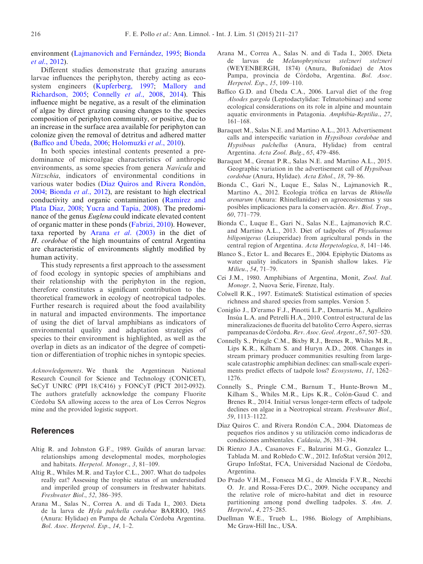<span id="page-5-0"></span>environment (Lajmanovich and Fernández, 1995; Bionda et al., 2012).

Different studies demonstrate that grazing anurans larvae influences the periphyton, thereby acting as ecosystem engineers ([Kupferberg, 1997;](#page-6-0) [Mallory and](#page-6-0) [Richardson, 2005](#page-6-0); Connelly et al., 2008, 2014). This influence might be negative, as a result of the elimination of algae by direct grazing causing changes to the species composition of periphyton community, or positive, due to an increase in the surface area available for periphyton can colonize given the removal of detritus and adhered matter (Baffico and Úbeda, 2006; [Holomuzki](#page-6-0) et al., 2010).

In both species intestinal contents presented a predominance of microalgae characteristics of anthropic environments, as some species from genera Navicula and Nitzschia, indicators of environmental conditions in various water bodies (Díaz Quiros and Rivera Rondón, 2004; Bionda et al., 2012), are resistant to high electrical conductivity and organic contamination (Ramirez and Plata Díaz, 2008; [Yucra and Tapia, 2008](#page-6-0)). The predominance of the genus Euglena could indicate elevated content of organic matter in these ponds ([Fabrizi, 2010](#page-6-0)). However, taxa reported by Arana et al. (2003) in the diet of H. cordobae of the high mountains of central Argentina are characteristic of environments slightly modified by human activity.

This study represents a first approach to the assessment of food ecology in syntopic species of amphibians and their relationship with the periphyton in the region, therefore constitutes a significant contribution to the theoretical framework in ecology of neotropical tadpoles. Further research is required about the food availability in natural and impacted environments. The importance of using the diet of larval amphibians as indicators of environmental quality and adaptation strategies of species to their environment is highlighted, as well as the overlap in diets as an indicator of the degree of competition or differentiation of trophic niches in syntopic species.

Acknowledgements. We thank the Argentinean National Research Council for Science and Technology (CONICET), SeCyT UNRC (PPI 18/C416) y FONCyT (PICT 2012-0932). The authors gratefully acknowledge the company Fluorite Córdoba SA allowing access to the area of Los Cerros Negros mine and the provided logistic support.

## **References**

- Altig R. and Johnston G.F., 1989. Guilds of anuran larvae: relationships among developmental modes, morphologies and habitats. Herpetol. Monogr., 3, 81–109.
- Altig R., Whiles M.R. and Taylor C.L., 2007. What do tadpoles really eat? Assessing the trophic status of an understudied and imperiled group of consumers in freshwater habitats. Freshwater Biol., 52, 386–395.
- Arana M., Salas N., Correa A. and di Tada I., 2003. Dieta de la larva de Hyla pulchella cordobae BARRIO, 1965 (Anura: Hylidae) en Pampa de Achala Córdoba Argentina. Bol. Asoc. Herpetol. Esp., 14, 1–2.
- Arana M., Correa A., Salas N. and di Tada I., 2005. Dieta de larvas de Melanophryniscus stelzneri stelzneri (WEYENBERGH, 1874) (Anura, Bufonidae) de Atos Pampa, provincia de Córdoba, Argentina. Bol. Asoc. Herpetol. Esp., 15, 109–110.
- Baffico G.D. and Úbeda C.A., 2006. Larval diet of the frog Alsodes gargola (Leptodactylidae: Telmatobiinae) and some ecological considerations on its role in alpine and mountain aquatic environments in Patagonia. Amphibia-Reptilia., 27, 161–168.
- Baraquet M., Salas N.E. and Martino A.L., 2013. Advertisement calls and interspecific variation in Hypsiboas cordobae and Hypsiboas pulchellus (Anura, Hylidae) from central Argentina. Acta Zool. Bulg., 65, 479–486.
- Baraquet M., Grenat P.R., Salas N.E. and Martino A.L., 2015. Geographic variation in the advertisement call of Hypsiboas cordobae (Anura, Hylidae). Acta Ethol., 18, 79–86.
- Bionda C., Gari N., Luque E., Salas N., Lajmanovich R., Martino A., 2012. Ecología trófica en larvas de Rhinella arenarum (Anura: Rhinellanidae) en agroecosistemas y sus posibles implicaciones para la conservación. Rev. Biol. Trop., 60, 771–779.
- Bionda C., Luque E., Gari N., Salas N.E., Lajmanovich R.C. and Martino A.L., 2013. Diet of tadpoles of Physalaemus biligonigerus (Leiuperidae) from agricultural ponds in the central region of Argentina. Acta Herpetologica, 8, 141–146.
- Blanco S., Ector L. and Becares E., 2004. Epiphytic Diatoms as water quality indicators in Spanish shallow lakes. Vie Milieu., 54, 71–79.
- Cei J.M., 1980. Amphibians of Argentina, Monit, Zool. Ital. Monogr. 2, Nuova Serie, Firenze, Italy.
- Colwell R.K., 1997. EstimateS: Statistical estimation of species richness and shared species from samples. Version 5.
- Coniglio J., D'eramo F.J., Pinotti L.P., Demartis M., Agulleiro Insúa L.A. and Petrelli H.A., 2010. Control estructural de las mineralizaciones de fluorita del batolito Cerro Áspero, sierras pampeanas de Córdoba. Rev. Asoc. Geol. Argent., 67, 507-520.
- Connelly S., Pringle C.M., Bixby R.J., Brenes R., Whiles M.R., Lips K.R., Kilham S. and Huryn A.D., 2008. Changes in stream primary producer communities resulting from largescale catastrophic amphibian declines: can small-scale experiments predict effects of tadpole loss? Ecosystems, 11, 1262– 1276.
- Connelly S., Pringle C.M., Barnum T., Hunte-Brown M., Kilham S., Whiles M.R., Lips K.R., Colón-Gaud C. and Brenes R., 2014. Initial versus longer-term effects of tadpole declines on algae in a Neotropical stream. Freshwater Biol., 59, 1113–1122.
- Díaz Quiros C. and Rivera Rondón C.A., 2004. Diatomeas de pequeños ríos andinos y su utilización como indicadoras de condiciones ambientales. Caldasia, 26, 381–394.
- Di Rienzo J.A., Casanoves F., Balzarini M.G., Gonzalez L., Tablada M. and Robledo C.W., 2012. InfoStat versión 2012, Grupo InfoStat, FCA, Universidad Nacional de Córdoba, Argentina.
- Do Prado V.H.M., Fonseca M.G., de Almeida F.V.R., Neechi O. Jr. and Rossa-Feres D.C., 2009. Niche occupancy and the relative role of micro-habitat and diet in resource partitioning among pond dwelling tadpoles. S. Am. J. Herpetol., 4, 275–285.
- Duellman W.E., Trueb L., 1986. Biology of Amphibians, Mc Graw-Hill Inc., USA.